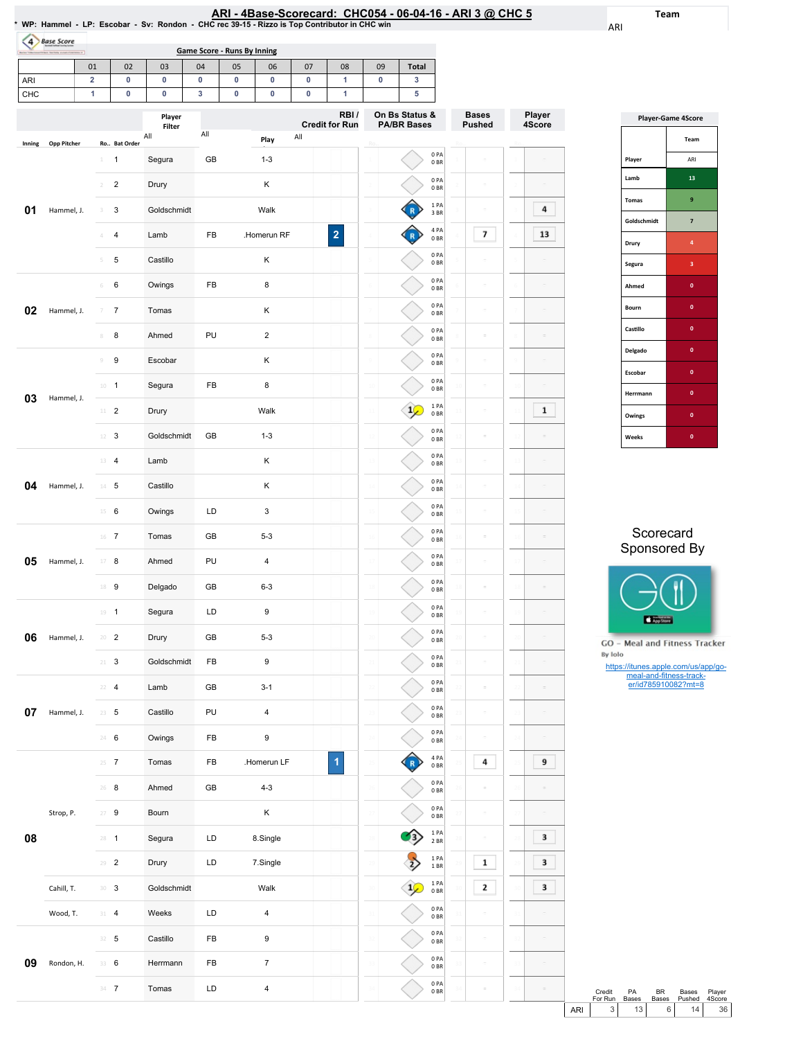Team

ARI

Player 4Score

 $\sim$  $\overline{4}$ 13

 $\sim$ 

 $\sim$ 

 $\bar{\varepsilon}$  $\begin{array}{|c|} \hline \textbf{1} \end{array}$ 

 $\sim$ 

 $\sim$ 

 $\sim$ 

 $\sim$ 

 $\mathcal{L}_{\mathcal{L}}$ 

 $\mathcal{L}^{\mathcal{L}}$ 

 $\overline{\phantom{a}}$ 

 $\sim$  $\overline{\mathbf{3}}$  $\overline{\phantom{a}}$  $\overline{\phantom{a}}$ 

| 4          | <b>Base Score</b>  |                                         |                  |               |        | <b>Game Score - Runs By Inning</b> |                         |        |                         |                |                    |                        |              |               |               |    |
|------------|--------------------|-----------------------------------------|------------------|---------------|--------|------------------------------------|-------------------------|--------|-------------------------|----------------|--------------------|------------------------|--------------|---------------|---------------|----|
|            |                    | 01                                      | 02               | 03            | 04     | 05                                 | 06                      | 07     | 08                      | 09             | <b>Total</b>       |                        |              |               |               |    |
| ARI<br>CHC |                    | $\overline{\mathbf{2}}$<br>$\mathbf{1}$ | 0<br>0           | 0<br>0        | 0<br>3 | 0<br>0                             | 0<br>0                  | 0<br>0 | 1<br>1                  | 0              | 3<br>5             |                        |              |               |               |    |
|            |                    |                                         |                  | Player        |        |                                    |                         |        | RBI/                    | On Bs Status & |                    |                        | <b>Bases</b> |               | Pla           |    |
| Inning     | <b>Opp Pitcher</b> |                                         | Ro Bat Order     | Filter<br>All | All    |                                    | Play                    | All    | <b>Credit for Run</b>   |                | <b>PA/BR Bases</b> |                        |              | <b>Pushed</b> |               | 4S |
|            |                    | 1.                                      | 1                | Segura        | GB     |                                    | $1 - 3$                 |        |                         |                |                    | 0PA<br>0BR             |              |               |               |    |
|            |                    | $\overline{2}$                          | $\overline{2}$   | Drury         |        |                                    | Κ                       |        |                         |                |                    | 0PA<br>0BR             |              | ÷             |               |    |
| 01         | Hammel, J.         | 3                                       | 3                | Goldschmidt   |        |                                    | Walk                    |        |                         |                |                    | 1PA<br>3 BR            |              | $\equiv$      |               |    |
|            |                    | 4                                       | 4                | Lamb          | FB     |                                    | .Homerun RF             |        | $\overline{\mathbf{c}}$ |                |                    | 4 PA<br>0BR            |              | 7             |               |    |
|            |                    | 5                                       | $\sqrt{5}$       | Castillo      |        |                                    | Κ                       |        |                         |                |                    | 0PA<br>0BR             |              |               |               |    |
|            |                    | 6                                       | 6                | Owings        | FB     |                                    | 8                       |        |                         |                |                    | 0PA<br>0BR             |              | ÷             |               |    |
| 02         | Hammel, J.         | $\overline{\gamma}$                     | $\overline{7}$   | Tomas         |        |                                    | Κ                       |        |                         |                |                    | 0PA<br>0BR             |              | $\bar{a}$     |               |    |
|            |                    | 8                                       | 8                | Ahmed         | PU     |                                    | $\overline{c}$          |        |                         |                |                    | 0PA<br>0B              |              | $\equiv$      |               |    |
|            |                    | 9                                       | $\boldsymbol{9}$ | Escobar       |        |                                    | Κ                       |        |                         |                |                    | 0PA<br>0 <sub>BR</sub> |              | $\equiv$      | 9             |    |
|            |                    | $10 - 1$                                |                  | Segura        | FB     |                                    | 8                       |        |                         |                |                    | 0PA<br>0BR             |              |               | 10            |    |
| 03         | Hammel, J.         | $11$ – $2$                              |                  | Drury         |        |                                    | Walk                    |        |                         |                |                    | 1PA<br>0BR             |              | ÷             |               |    |
|            |                    | $12 - 3$                                |                  | Goldschmidt   | GB     |                                    | $1 - 3$                 |        |                         |                |                    | 0PA<br>0BR             |              | $\equiv$      | 12            |    |
|            |                    | 13 4                                    |                  | Lamb          |        |                                    | Κ                       |        |                         |                |                    | 0PA<br>0BR             |              | ÷             |               |    |
| 04         | Hammel, J.         | $14 - 5$                                |                  | Castillo      |        |                                    | Κ                       |        |                         |                |                    | 0PA<br>0 BR            |              | $\bar{a}$     | $\frac{1}{4}$ |    |
|            |                    | $15 \t 6$                               |                  | Owings        | LD     |                                    | 3                       |        |                         |                |                    | 0PA<br>0BR             |              | ÷             | 15            |    |
|            |                    | $16$ 7                                  |                  | Tomas         | GB     |                                    | $5 - 3$                 |        |                         |                |                    | 0PA<br>0B              |              | ÷             | 16            |    |
| 05         | Hammel, J.         | $17 - 8$                                |                  | Ahmed         | PU     |                                    | $\overline{4}$          |        |                         |                |                    | 0PA<br>0BR             |              | Ξ             | 17            |    |
|            |                    | 18                                      | 9                | Delgado       | GB     |                                    | $6 - 3$                 |        |                         |                |                    | 0PA<br>0 BR            |              | ÷             | 18            |    |
|            |                    | $19 - 1$                                |                  | Segura        | LD     |                                    | 9                       |        |                         |                |                    | 0PA<br>0B              |              |               |               |    |
| 06         | Hammel, J.         | $20 - 2$                                |                  | Drury         | GB     |                                    | $5 - 3$                 |        |                         |                |                    | 0PA<br>0BR             |              |               | 20            |    |
|            |                    | $21 - 3$                                |                  | Goldschmidt   | FB     |                                    | 9                       |        |                         |                |                    | 0PA<br>0B              |              | ÷             |               |    |
|            |                    | $22 - 4$                                |                  | Lamb          | GB     |                                    | $3 - 1$                 |        |                         |                |                    | 0PA<br>0B              |              | Ξ             |               |    |
| 07         | Hammel, J.         | $23 - 5$                                |                  | Castillo      | PU     |                                    | $\overline{\mathbf{4}}$ |        |                         |                |                    | 0PA<br>0 BR            |              | $\bar{a}$     |               |    |
|            |                    | 24 6                                    |                  | Owings        | FB     |                                    | 9                       |        |                         |                |                    | 0 PA<br>0B             |              | $\equiv$      |               |    |
|            |                    | $25 - 7$                                |                  | Tomas         | FB     |                                    | .Homerun LF             |        | 1                       |                |                    | 4 PA<br>0B             |              | 4             |               |    |
|            |                    | $26$ 8                                  |                  | Ahmed         | GB     |                                    | $4 - 3$                 |        |                         |                |                    | 0PA<br>0B              |              |               |               |    |
|            | Strop, P.          | $27 - 9$                                |                  | Bourn         |        |                                    | Κ                       |        |                         |                |                    | 0PA<br>0B              |              | $\equiv$      |               |    |
| 08         |                    | $28 - 1$                                |                  | Segura        | LD     |                                    | 8.Single                |        |                         |                |                    | 1PA<br>2 BR            |              | $\equiv$      | 28            |    |
|            |                    | $29 - 2$                                |                  | Drury         | LD     |                                    | 7.Single                |        |                         |                |                    | 1PA<br>1BR             |              | 1             |               |    |
|            | Cahill, T.         | 30 <sup>3</sup>                         |                  | Goldschmidt   |        |                                    | Walk                    |        |                         |                |                    | 1 PA<br>0B             |              | 2             | 30            |    |
|            | Wood, T.           | 31 4                                    |                  | Weeks         | LD     |                                    | 4                       |        |                         |                |                    | 0PA<br>0B              |              |               |               |    |
|            |                    | $32 - 5$                                |                  | Castillo      | FB     |                                    | 9                       |        |                         |                |                    | 0PA<br>0B              |              |               | 32            |    |
| 09         | Rondon, H.         | 33 6                                    |                  | Herrmann      | FB     |                                    | $\boldsymbol{7}$        |        |                         |                |                    | 0PA<br>0B              |              | $\equiv$      |               |    |

34 7 Tomas LD 4

34

0PA 0BR

34

34

 $\bar{\varepsilon}$ 

| <b>Player-Game 4Score</b> |                |  |  |  |  |  |  |  |
|---------------------------|----------------|--|--|--|--|--|--|--|
|                           | Team           |  |  |  |  |  |  |  |
| Player                    | ARI            |  |  |  |  |  |  |  |
| Lamb                      | 13             |  |  |  |  |  |  |  |
| <b>Tomas</b>              | 9              |  |  |  |  |  |  |  |
| Goldschmidt               | 7              |  |  |  |  |  |  |  |
| Drury                     | $\overline{a}$ |  |  |  |  |  |  |  |
| Segura                    | 3              |  |  |  |  |  |  |  |
| Ahmed                     | 0              |  |  |  |  |  |  |  |
| Bourn                     | 0              |  |  |  |  |  |  |  |
| Castillo                  | O              |  |  |  |  |  |  |  |
| Delgado                   | O              |  |  |  |  |  |  |  |
| Escobar                   | O              |  |  |  |  |  |  |  |
| Herrmann                  | $\bf{0}$       |  |  |  |  |  |  |  |
| Owings                    | Ō              |  |  |  |  |  |  |  |
| Weeks                     | O              |  |  |  |  |  |  |  |

## Scorecard Sponsored By



**GO** - Meal and Fitness Tracker By Iolo

https://itunes.apple.com/us/app/go-meal-and-fitness-track-er/id785910082?mt=8

|     | Credit  | PA           | RR           | Bases  | Player |
|-----|---------|--------------|--------------|--------|--------|
|     | For Run | <b>Bases</b> | <b>Bases</b> | Pushed | 4Score |
| ARI | 3 I     | 13           | 6 I          | 14     |        |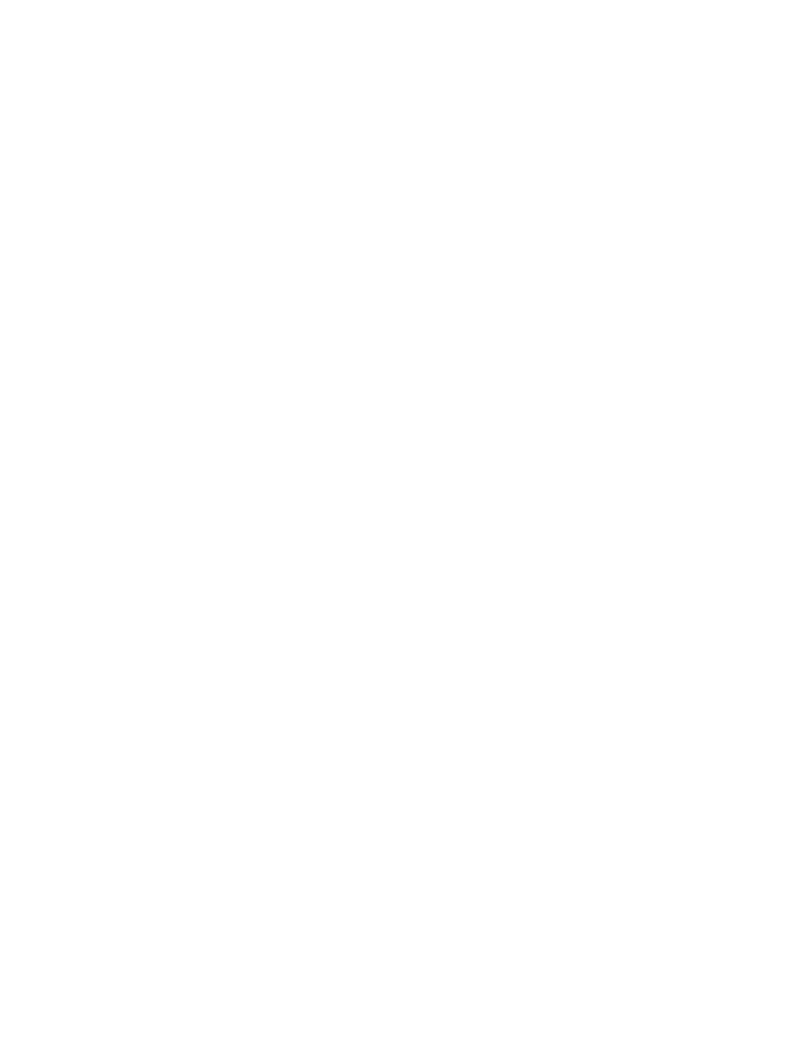| : 3 + DP PHO / 3 (VFREDU 6Y 5 ROGRO, & + & UHF |                            |                                          |              | \$5, | %DVH6FRU+FDLG &+&               |                      | 5 LJ R LV 7 RS & ROMMEXWRULQ & + & Z LQ |    |                                               | $$5, # 8+8$      |                |
|------------------------------------------------|----------------------------|------------------------------------------|--------------|------|---------------------------------|----------------------|-----------------------------------------|----|-----------------------------------------------|------------------|----------------|
|                                                |                            |                                          |              |      | ' u ^ } Œr Zµv• Ç/vv]vP         |                      |                                         |    |                                               |                  |                |
|                                                | ìí<br>ìî                   | ÌΪ                                       | ìð           | ìñ   | ìò                              | ìó                   | ìô                                      | ìõ | $d$ } š o                                     |                  |                |
| \$5,<br>$8 + 8$                                |                            |                                          |              |      |                                 |                      |                                         |    |                                               |                  |                |
|                                                |                            | Wb Ç Œ<br>&još Œ<br>$\pmb{\circledcirc}$ | $^\circledR$ |      | WoÇ                             | $\pmb{\circledcirc}$ | $5\%$<br>& UHGLWRU5 XQ                  |    | 2 Q%V 6 VDWXV<br>3\$ %5 %DVHV                 | %DVHV<br>3 XVKHG | 30 NU<br>6FRUH |
| /vv]vP K‰W)\$ZOE                               | Z}XX ŠKOEC<br>$\mathbf{f}$ | 6HJXUD                                   | $*$ %        |      |                                 |                      |                                         |    | i W                                           |                  |                |
|                                                | $\hat{1}$                  | ' UKU                                    |              |      |                                 |                      |                                         |    | $i$ Z<br>ìW                                   |                  |                |
|                                                |                            |                                          |              |      | $\mathcal{A}^{\mathcal{A}}$ and |                      |                                         |    | $i$ Z<br>í W                                  |                  |                |
| , uu oUX                                       | $\mathbf{I}$               | * ROMFKP LGW                             |              |      | : DON                           |                      |                                         |    | ï Z<br>ðW                                     |                  |                |
|                                                | ð                          | $/$ DP E                                 | ) %          |      | $+$ RP HUXQ5)                   |                      |                                         |    | i Z<br>i W                                    |                  |                |
|                                                | ñ                          | & DW <b>ICR</b>                          |              |      | $\mathcal{L}^{\text{max}}$      |                      |                                         |    | i Z<br>ìW                                     |                  |                |
|                                                | ò                          | 2 Z LQJ V                                | ) %          |      |                                 |                      |                                         |    | $i$ Z                                         |                  |                |
| , uu o∐X ó                                     |                            | 7RP DV                                   |              |      | $\sim$                          |                      |                                         |    | ìW<br>i Z                                     |                  |                |
|                                                | ô                          | \$KPHG                                   | 38           |      |                                 |                      |                                         |    | i W<br>ì Z                                    |                  |                |
|                                                | õ                          | (VFREDU                                  |              |      | $\epsilon$                      |                      |                                         |    | i W<br>$i$ Z                                  |                  |                |
| , uu oLIX                                      | $\Box$                     | 6HJXUD                                   | ) %          |      |                                 |                      |                                         |    | i W<br>$i$ Z                                  |                  |                |
|                                                | íí                         | ' UKU                                    |              |      | $:$ DON                         |                      |                                         |    | í W<br>i Z                                    |                  |                |
|                                                | íî                         | * ROMFKP LGW * %                         |              |      |                                 |                      |                                         |    | ìW<br>$i$ Z                                   |                  |                |
|                                                | íï                         | / DP E                                   |              |      | $\mathcal{L}$                   |                      |                                         |    | ìW<br>$i$ Z                                   |                  |                |
| , uu oLIX                                      | íð                         | & DVMOR                                  |              |      | $\cdot$                         |                      |                                         |    | i W<br>$i$ Z                                  |                  |                |
|                                                | íñ                         | 2 Z IQJ V                                | $\prime$ '   |      |                                 |                      |                                         |    | i W<br>i Z                                    |                  |                |
|                                                | íò                         | 7RP DV                                   | $*$ %        |      |                                 |                      |                                         |    | i W<br>i Z                                    |                  |                |
| , uu oLIX íó                                   |                            | \$KPHG                                   | 38           |      |                                 |                      |                                         |    | i W<br>i Z                                    |                  |                |
|                                                | íô                         | ' HODGR                                  | $*$ %        |      |                                 |                      |                                         |    | ìW<br>$i$ Z                                   |                  |                |
|                                                | íõ                         | 6HJXUD                                   | $\prime$ '   |      |                                 |                      |                                         |    | ìW<br>$i$ Z                                   |                  |                |
| , uu oUX ii                                    |                            | ' UKU                                    | $*$ %        |      |                                 |                      |                                         |    | ì W<br>i Z                                    |                  |                |
|                                                | îí                         | * ROWFKP LGW                             | ) %          |      |                                 |                      |                                         |    | ìW<br>i Z                                     |                  | KW             |
|                                                | îî                         | / DP E                                   | $*$ %        |      |                                 |                      |                                         |    | i W<br>$i$ Z                                  |                  |                |
| , uu oLIXTT                                    |                            | & DVMOR                                  | 38           |      |                                 |                      |                                         |    | ìW<br>$i$ Z                                   |                  |                |
|                                                | îŏ                         | 2 Z LQJ V                                | ) %          |      |                                 |                      |                                         |    | ìW<br>$i$ Z                                   |                  |                |
|                                                | îñ                         | 7RP DV                                   | ) %          |      | $+ RP$ HJXQ $/$ )               |                      |                                         |    | ðW<br>i Z                                     |                  |                |
|                                                | îò                         | \$KPHG                                   | $*$ %        |      |                                 |                      |                                         |    | ìW<br>i Z                                     |                  |                |
| ^šQP%WX                                        | îó                         | %RXLIQ                                   |              |      | $\sim$                          |                      |                                         |    | i W                                           |                  |                |
|                                                | îô                         | 6HJXUD                                   | $\prime$ '   |      | $61QJ$ $\Theta$                 |                      |                                         |    | $i$ Z<br>í W                                  |                  |                |
|                                                | ÎÕ                         | $'$ UKU                                  | $\prime$ .   |      | $61QJ$ $\Theta$                 |                      |                                         |    | $i$ $z$<br>í W                                |                  |                |
|                                                |                            |                                          |              |      |                                 |                      |                                         |    | $i$ $z$<br>i W                                |                  |                |
| <b>ZjoldX</b>                                  | TÌ.                        | * ROMFKP LGW                             |              |      | $\therefore$ DON                |                      |                                         |    | i Z<br>ìW                                     |                  |                |
|                                                | ΪĹ                         | :HHW                                     | $\prime$ '   |      |                                 |                      |                                         |    | i Z<br>ìW                                     |                  |                |
|                                                | ΪÎ                         | &DVMOR                                   | ) %          |      |                                 |                      |                                         |    | $i$ Z<br>i W                                  |                  |                |
| $Z\}$ v } vU X 11                              |                            | $+$ HUP DQQ                              | ) %          |      |                                 |                      |                                         |    | $i$ Z                                         |                  |                |
|                                                | ïð                         | 7RP DV                                   | $\prime$ .   |      |                                 |                      |                                         |    | $\begin{array}{c} i \ W \\ i \ Z \end{array}$ |                  | & UHGLIV       |

# WoÇOE u ð^}Œ  $d - u$ Wo Ç Œ  $\mathbb{Z}^f$  $> u$  $\ddot{\mathbf{o}}$  $d$ } u  $\bullet$  $\acute{\rm{o}}$ '}o• Zu] š **CEOCE**  $\land$  PµŒ  $z<sub>u</sub>$  $\} \mu \times$ ۰Ÿo)  $\sigma$  }  $\bullet$  }  $\alpha$ , OBE  $vv$ **KÁ]vP**  $t = 1$

## 6 FRU+FDLG 6 SRQVRUHG%

# <u>SIV LWICH-VDSSOPIFRP XVDSSJR</u><br><u>PHDCDQGILWOH-WWDFN</u><br><u>HULG "PW</u>

3\$ %5 %DMHV 300\HU<br><u>%DMHV %DMHV 3XVKHG 6FRUH</u>

 $\sqrt{$5,}$ 

 $d$  u

| MH6FRUHFDLG &+&                  | $$5.$ # $&+8.$ |  |
|----------------------------------|----------------|--|
| i∐IRLV 7RS&RQMLLEXWRULQ& + & ZLQ |                |  |

 $Z/$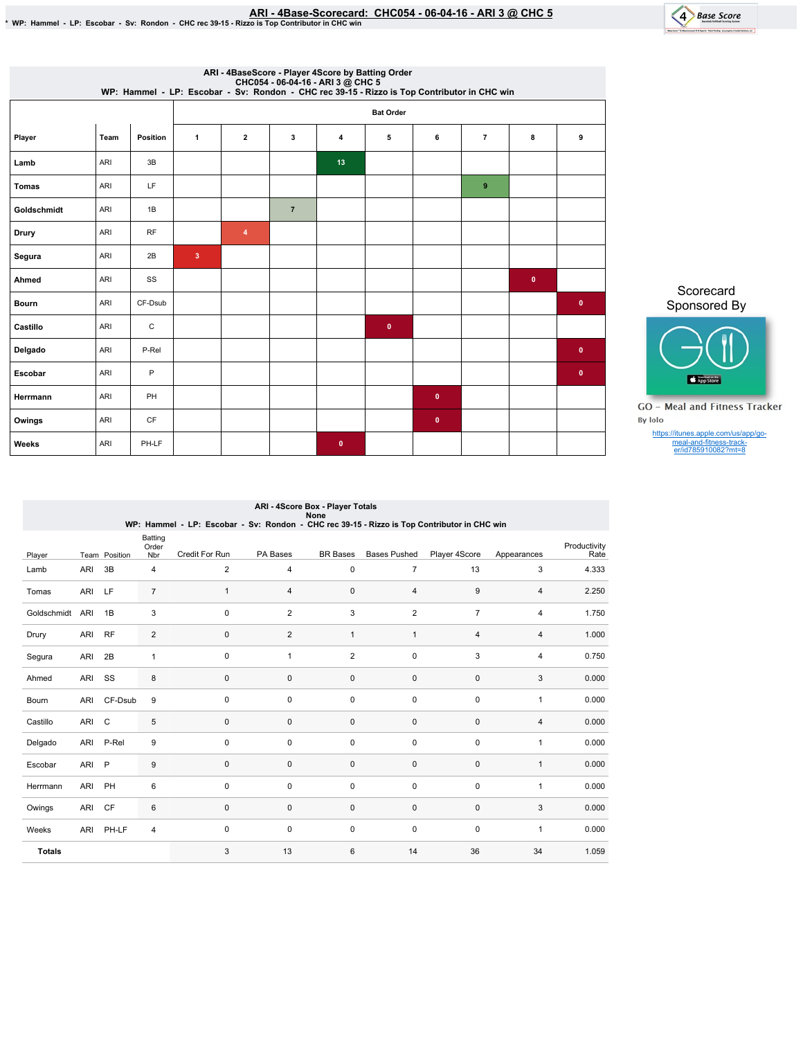<u>ARI - 4Base-Scorecard: CHC054 - 06-04-16 - ARI3 @ CHC 5</u><br>\* WP: Hammel - LP: Escobar - Sv: Rondon - CHC rec 39-15 - Rizzo is Top Contributor in CHC win



| ARI - 4BaseScore - Player 4Score by Batting Order<br>CHC054 - 06-04-16 - ARI 3 @ CHC 5<br>WP: Hammel - LP: Escobar - Sv: Rondon - CHC rec 39-15 - Rizzo is Top Contributor in CHC win |      |             |                  |                |                |                     |           |              |                |           |             |  |  |
|---------------------------------------------------------------------------------------------------------------------------------------------------------------------------------------|------|-------------|------------------|----------------|----------------|---------------------|-----------|--------------|----------------|-----------|-------------|--|--|
|                                                                                                                                                                                       |      |             | <b>Bat Order</b> |                |                |                     |           |              |                |           |             |  |  |
| Player                                                                                                                                                                                | Team | Position    | $\mathbf{1}$     | $\mathbf{2}$   | 3              | $\overline{\bf{4}}$ | 5         | 6            | $\overline{7}$ | 8         | 9           |  |  |
| Lamb                                                                                                                                                                                  | ARI  | 3B          |                  |                |                | 13                  |           |              |                |           |             |  |  |
| <b>Tomas</b>                                                                                                                                                                          | ARI  | LF          |                  |                |                |                     |           |              | 9              |           |             |  |  |
| Goldschmidt                                                                                                                                                                           | ARI  | 1B          |                  |                | $\overline{7}$ |                     |           |              |                |           |             |  |  |
| Drury                                                                                                                                                                                 | ARI  | <b>RF</b>   |                  | $\overline{4}$ |                |                     |           |              |                |           |             |  |  |
| Segura                                                                                                                                                                                | ARI  | 2B          | $\overline{3}$   |                |                |                     |           |              |                |           |             |  |  |
| Ahmed                                                                                                                                                                                 | ARI  | SS          |                  |                |                |                     |           |              |                | $\bullet$ |             |  |  |
| <b>Bourn</b>                                                                                                                                                                          | ARI  | CF-Dsub     |                  |                |                |                     |           |              |                |           | $\mathbf 0$ |  |  |
| Castillo                                                                                                                                                                              | ARI  | $\mathbf C$ |                  |                |                |                     | $\bullet$ |              |                |           |             |  |  |
| Delgado                                                                                                                                                                               | ARI  | P-Rel       |                  |                |                |                     |           |              |                |           | $\bf{0}$    |  |  |
| Escobar                                                                                                                                                                               | ARI  | P           |                  |                |                |                     |           |              |                |           | $\mathbf 0$ |  |  |
| Herrmann                                                                                                                                                                              | ARI  | PH          |                  |                |                |                     |           | $\bullet$    |                |           |             |  |  |
| Owings                                                                                                                                                                                | ARI  | CF          |                  |                |                |                     |           | $\mathbf{0}$ |                |           |             |  |  |
| Weeks                                                                                                                                                                                 | ARI  | PH-LF       |                  |                |                | $\bullet$           |           |              |                |           |             |  |  |

Scorecard Sponsored By



**GO** - Meal and Fitness Tracker By Iolo

https://itunes.apple.com/us/app/go-meal-and-fitness-track-er/id785910082?mt=8

## ARI - 4Score Box - Player Totals None

|               | WP: Hammel - LP: Escobar - Sv: Rondon - CHC rec 39-15 - Rizzo is Top Contributor in CHC win |               |                         |                |                |                 |                     |                |              |                      |  |  |  |  |
|---------------|---------------------------------------------------------------------------------------------|---------------|-------------------------|----------------|----------------|-----------------|---------------------|----------------|--------------|----------------------|--|--|--|--|
| Player        |                                                                                             | Team Position | Batting<br>Order<br>Nbr | Credit For Run | PA Bases       | <b>BR</b> Bases | <b>Bases Pushed</b> | Player 4Score  | Appearances  | Productivity<br>Rate |  |  |  |  |
| Lamb          | ARI                                                                                         | 3B            | 4                       | $\overline{2}$ | 4              | 0               | $\overline{7}$      | 13             | 3            | 4.333                |  |  |  |  |
| Tomas         | ARI                                                                                         | LF            | $\overline{7}$          | 1              | 4              | $\mathbf 0$     | $\overline{4}$      | 9              | 4            | 2.250                |  |  |  |  |
| Goldschmidt   | <b>ARI</b>                                                                                  | 1B            | 3                       | 0              | $\overline{2}$ | 3               | $\overline{2}$      | $\overline{7}$ | 4            | 1.750                |  |  |  |  |
| Drury         | ARI                                                                                         | <b>RF</b>     | $\overline{c}$          | 0              | $\overline{c}$ | $\mathbf{1}$    | $\mathbf{1}$        | 4              | 4            | 1.000                |  |  |  |  |
| Segura        | ARI                                                                                         | 2B            | $\mathbf{1}$            | 0              | $\mathbf{1}$   | $\overline{2}$  | $\mathbf 0$         | 3              | 4            | 0.750                |  |  |  |  |
| Ahmed         | ARI                                                                                         | SS            | 8                       | 0              | 0              | $\pmb{0}$       | $\pmb{0}$           | $\pmb{0}$      | 3            | 0.000                |  |  |  |  |
| Bourn         | ARI                                                                                         | CF-Dsub       | 9                       | 0              | 0              | $\mathbf 0$     | 0                   | $\pmb{0}$      | $\mathbf{1}$ | 0.000                |  |  |  |  |
| Castillo      | ARI                                                                                         | C             | 5                       | 0              | 0              | $\pmb{0}$       | $\pmb{0}$           | $\pmb{0}$      | 4            | 0.000                |  |  |  |  |
| Delgado       | ARI                                                                                         | P-Rel         | 9                       | 0              | 0              | 0               | 0                   | 0              | $\mathbf{1}$ | 0.000                |  |  |  |  |
| Escobar       | ARI                                                                                         | P             | 9                       | 0              | 0              | $\pmb{0}$       | $\pmb{0}$           | $\pmb{0}$      | $\mathbf{1}$ | 0.000                |  |  |  |  |
| Herrmann      | ARI                                                                                         | PH            | 6                       | 0              | 0              | 0               | $\pmb{0}$           | 0              | $\mathbf{1}$ | 0.000                |  |  |  |  |
| Owings        | ARI                                                                                         | CF            | 6                       | 0              | $\mathbf 0$    | $\mathbf 0$     | $\pmb{0}$           | $\pmb{0}$      | 3            | 0.000                |  |  |  |  |
| Weeks         | ARI                                                                                         | PH-LF         | 4                       | 0              | 0              | $\pmb{0}$       | $\pmb{0}$           | $\pmb{0}$      | $\mathbf{1}$ | 0.000                |  |  |  |  |
| <b>Totals</b> |                                                                                             |               |                         | 3              | 13             | 6               | 14                  | 36             | 34           | 1.059                |  |  |  |  |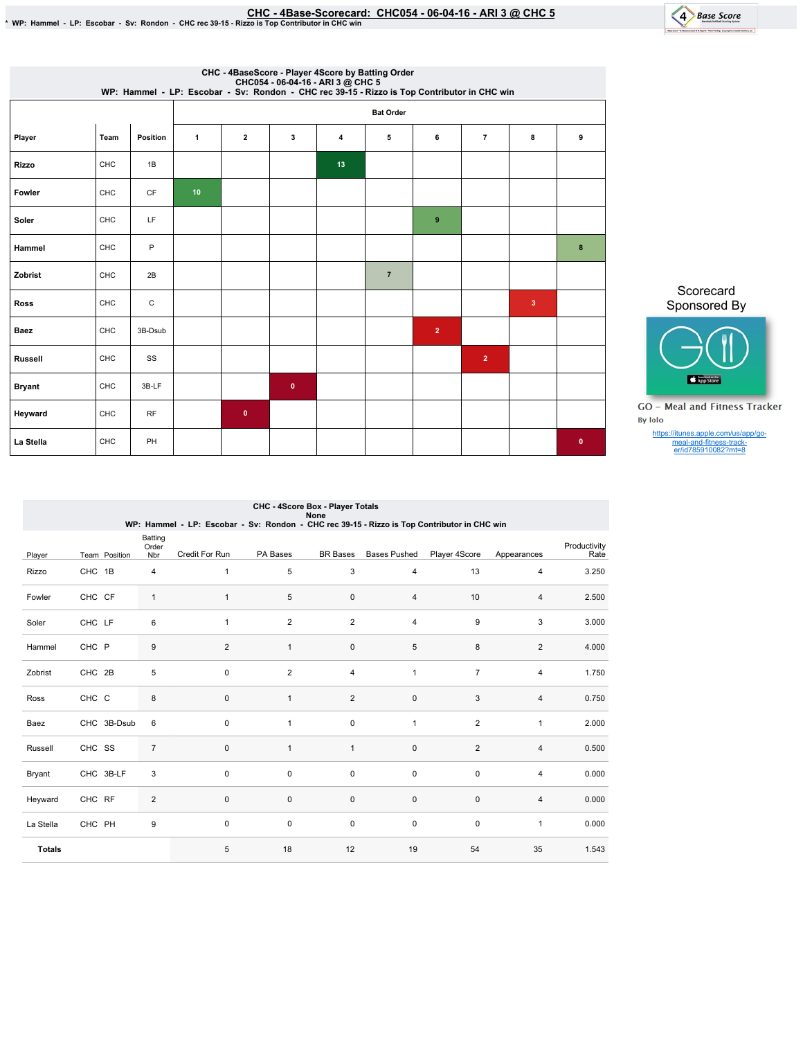

|                | CHC - 4BaseScore - Player 4Score by Batting Order<br>CHC054 - 06-04-16 - ARI 3 @ CHC 5<br>WP: Hammel - LP: Escobar - Sv: Rondon - CHC rec 39-15 - Rizzo is Top Contributor in CHC win |             |              |                         |           |    |                  |                |                |              |             |  |  |  |
|----------------|---------------------------------------------------------------------------------------------------------------------------------------------------------------------------------------|-------------|--------------|-------------------------|-----------|----|------------------|----------------|----------------|--------------|-------------|--|--|--|
|                |                                                                                                                                                                                       |             |              |                         |           |    | <b>Bat Order</b> |                |                |              |             |  |  |  |
| Player         | Team                                                                                                                                                                                  | Position    | $\mathbf{1}$ | $\overline{\mathbf{2}}$ | 3         | 4  | 5                | 6              | $\overline{7}$ | 8            | 9           |  |  |  |
| <b>Rizzo</b>   | CHC                                                                                                                                                                                   | 1B          |              |                         |           | 13 |                  |                |                |              |             |  |  |  |
| Fowler         | CHC                                                                                                                                                                                   | CF          | 10           |                         |           |    |                  |                |                |              |             |  |  |  |
| Soler          | CHC                                                                                                                                                                                   | LF          |              |                         |           |    |                  | 9              |                |              |             |  |  |  |
| Hammel         | CHC                                                                                                                                                                                   | P           |              |                         |           |    |                  |                |                |              | 8           |  |  |  |
| Zobrist        | CHC                                                                                                                                                                                   | 2B          |              |                         |           |    | $\overline{7}$   |                |                |              |             |  |  |  |
| <b>Ross</b>    | CHC                                                                                                                                                                                   | $\mathbf C$ |              |                         |           |    |                  |                |                | $\mathbf{3}$ |             |  |  |  |
| <b>Baez</b>    | CHC                                                                                                                                                                                   | 3B-Dsub     |              |                         |           |    |                  | $\overline{2}$ |                |              |             |  |  |  |
| <b>Russell</b> | CHC                                                                                                                                                                                   | SS          |              |                         |           |    |                  |                | $\overline{2}$ |              |             |  |  |  |
| <b>Bryant</b>  | CHC                                                                                                                                                                                   | 3B-LF       |              |                         | $\pmb{0}$ |    |                  |                |                |              |             |  |  |  |
| Heyward        | CHC                                                                                                                                                                                   | <b>RF</b>   |              | $\bullet$               |           |    |                  |                |                |              |             |  |  |  |
| La Stella      | CHC                                                                                                                                                                                   | PH          |              |                         |           |    |                  |                |                |              | $\mathbf 0$ |  |  |  |

Sponsored By App Store

Scorecard

**GO** - Meal and Fitness Tracker By Iolo

https://itunes.apple.com/us/app/go-meal-and-fitness-track-er/id785910082?mt=8

|               | CHC - 4Score Box - Player Totals<br>None<br>WP: Hammel - LP: Escobar - Sv: Rondon - CHC rec 39-15 - Rizzo is Top Contributor in CHC win                                            |                  |                |                |              |                |                |                |       |  |  |  |  |  |  |
|---------------|------------------------------------------------------------------------------------------------------------------------------------------------------------------------------------|------------------|----------------|----------------|--------------|----------------|----------------|----------------|-------|--|--|--|--|--|--|
|               | Batting<br>Productivity<br>Order<br>Credit For Run<br>PA Bases<br><b>BR</b> Bases<br><b>Bases Pushed</b><br>Player 4Score<br>Rate<br>Appearances<br>Player<br>Team Position<br>Nbr |                  |                |                |              |                |                |                |       |  |  |  |  |  |  |
| Rizzo         | CHC 1B                                                                                                                                                                             | $\overline{4}$   | 1              | 5              | 3            | $\overline{4}$ | 13             | $\overline{4}$ | 3.250 |  |  |  |  |  |  |
| Fowler        | CHC CF                                                                                                                                                                             | $\mathbf{1}$     | $\mathbf{1}$   | 5              | $\mathbf 0$  | $\overline{4}$ | 10             | $\overline{4}$ | 2.500 |  |  |  |  |  |  |
| Soler         | CHC LF                                                                                                                                                                             | 6                | $\mathbf{1}$   | $\overline{2}$ | 2            | $\overline{4}$ | 9              | 3              | 3.000 |  |  |  |  |  |  |
| Hammel        | CHC P                                                                                                                                                                              | 9                | $\overline{2}$ | $\mathbf{1}$   | $\mathbf 0$  | 5              | 8              | $\overline{2}$ | 4.000 |  |  |  |  |  |  |
| Zobrist       | CHC 2B                                                                                                                                                                             | 5                | 0              | $\overline{2}$ | 4            | $\mathbf{1}$   | $\overline{7}$ | $\overline{4}$ | 1.750 |  |  |  |  |  |  |
| Ross          | CHC C                                                                                                                                                                              | 8                | $\mathbf 0$    | $\mathbf{1}$   | 2            | $\mathbf 0$    | 3              | $\overline{4}$ | 0.750 |  |  |  |  |  |  |
| Baez          | CHC 3B-Dsub                                                                                                                                                                        | 6                | 0              | $\mathbf{1}$   | $\mathbf 0$  | $\mathbf{1}$   | $\overline{2}$ | $\mathbf{1}$   | 2.000 |  |  |  |  |  |  |
| Russell       | CHC SS                                                                                                                                                                             | $\overline{7}$   | $\mathbf 0$    | $\mathbf{1}$   | $\mathbf{1}$ | $\mathbf 0$    | 2              | $\overline{4}$ | 0.500 |  |  |  |  |  |  |
| Bryant        | CHC 3B-LF                                                                                                                                                                          | 3                | 0              | $\mathbf 0$    | $\mathbf 0$  | $\mathbf 0$    | $\mathbf 0$    | $\overline{4}$ | 0.000 |  |  |  |  |  |  |
| Heyward       | CHC RF                                                                                                                                                                             | 2                | $\mathbf 0$    | $\mathbf 0$    | $\mathbf 0$  | $\mathbf 0$    | $\mathbf 0$    | $\overline{4}$ | 0.000 |  |  |  |  |  |  |
| La Stella     | CHC PH                                                                                                                                                                             | $\boldsymbol{9}$ | 0              | $\mathbf 0$    | $\mathbf 0$  | $\mathbf 0$    | $\mathbf 0$    | $\mathbf{1}$   | 0.000 |  |  |  |  |  |  |
| <b>Totals</b> |                                                                                                                                                                                    |                  | 5              | 18             | 12           | 19             | 54             | 35             | 1.543 |  |  |  |  |  |  |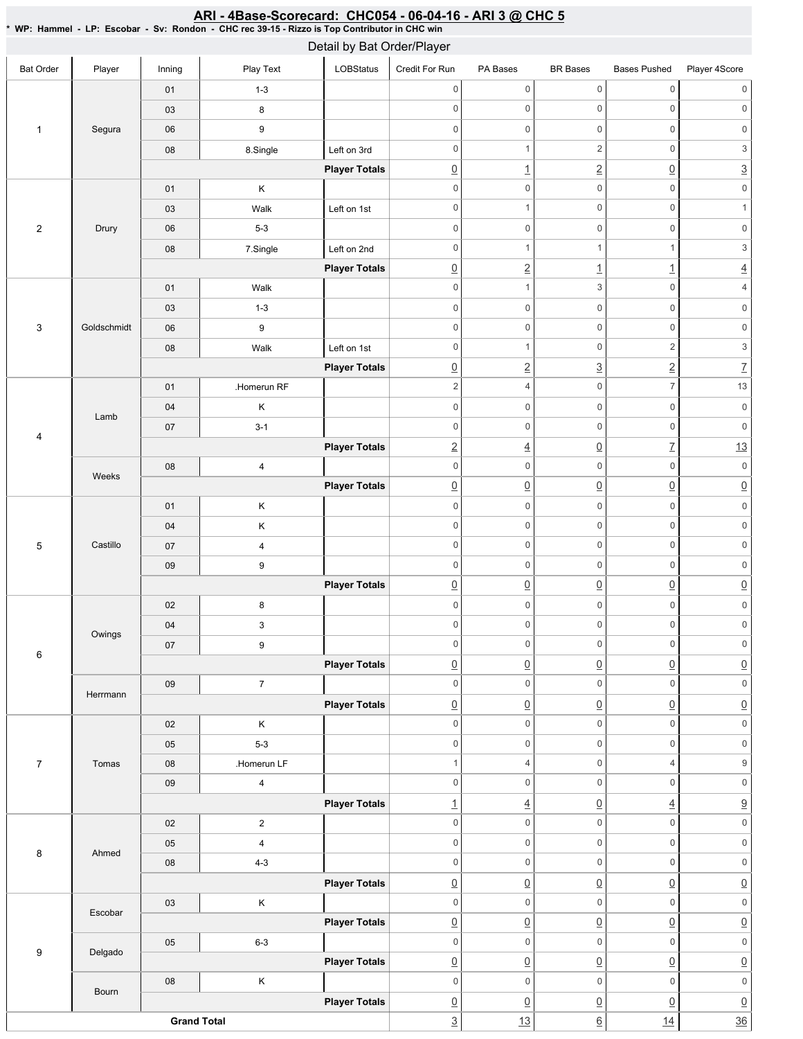| Detail by Bat Order/Player |             |                    |                                           |                      |                                       |                                        |                                            |                                        |                                        |  |  |  |
|----------------------------|-------------|--------------------|-------------------------------------------|----------------------|---------------------------------------|----------------------------------------|--------------------------------------------|----------------------------------------|----------------------------------------|--|--|--|
| <b>Bat Order</b>           | Player      | Inning             | Play Text                                 | <b>LOBStatus</b>     | Credit For Run                        | PA Bases                               | <b>BR</b> Bases                            | <b>Bases Pushed</b>                    | Player 4Score                          |  |  |  |
|                            |             | 01                 | $1 - 3$                                   |                      | $\mathsf{O}\xspace$                   | $\mathsf{O}\xspace$                    | $\mathsf{O}\xspace$                        | $\mathbf 0$                            | $\mathbf 0$                            |  |  |  |
|                            |             | 03                 | $\bf8$                                    |                      | $\mathbf 0$                           | $\mathsf{O}\xspace$                    | $\mathsf 0$                                | $\mathsf 0$                            | $\mathbf 0$                            |  |  |  |
| $\mathbf{1}$               | Segura      | 06                 | $\boldsymbol{9}$                          |                      | $\mathbb O$                           | $\mathsf{O}\xspace$                    | $\mathsf{O}\xspace$                        | $\mathsf 0$                            | $\mathsf{O}\xspace$                    |  |  |  |
|                            |             | ${\bf 08}$         | 8.Single                                  | Left on 3rd          | $\mathbf 0$                           | $\mathbf{1}$                           | $\overline{c}$                             | $\mathsf 0$                            | $\ensuremath{\mathsf{3}}$              |  |  |  |
|                            |             |                    |                                           | <b>Player Totals</b> | $\underline{0}$                       | $\overline{1}$                         | $\underline{2}$                            | $\underline{0}$                        | $\overline{3}$                         |  |  |  |
|                            |             | 01                 | Κ                                         |                      | $\mathbf 0$                           | $\mathsf{O}\xspace$                    | $\mathsf{O}\xspace$                        | $\mathsf 0$                            | $\mathsf{O}\xspace$                    |  |  |  |
|                            |             | 03                 | Walk                                      | Left on 1st          | $\mathbf 0$                           | $\mathbf{1}$                           | $\mathsf 0$                                | $\mathsf 0$                            | $\mathbf{1}$                           |  |  |  |
| $\mathbf{2}$               | Drury       | 06                 | $5 - 3$                                   |                      | $\mathbf 0$                           | $\mathsf{O}\xspace$                    | $\mathsf 0$                                | $\mathsf{O}\xspace$                    | $\mathsf{0}$                           |  |  |  |
|                            |             | 08                 | 7.Single                                  | Left on 2nd          | $\mathbf 0$                           | $\mathbf{1}$                           | $\mathbf{1}$                               | $\mathbf{1}$                           | $\ensuremath{\mathsf{3}}$              |  |  |  |
|                            |             |                    |                                           | <b>Player Totals</b> | $\underline{0}$                       | $\overline{2}$                         | $\overline{1}$                             | $\underline{\mathbf{1}}$               | $\overline{4}$                         |  |  |  |
|                            |             | 01                 | Walk                                      |                      | $\mathbb O$                           | $\mathbf{1}$                           | 3                                          | $\mathsf 0$                            | $\overline{4}$                         |  |  |  |
|                            |             | 03                 | $1 - 3$                                   |                      | $\mathbf 0$                           | $\mathsf{O}\xspace$                    | $\mathsf{O}\xspace$                        | $\mathsf 0$                            | $\mathsf{0}$                           |  |  |  |
| $\ensuremath{\mathsf{3}}$  | Goldschmidt | 06                 | 9                                         |                      | $\mathbf 0$                           | $\mathsf{O}\xspace$                    | $\mathsf{O}\xspace$                        | $\mathsf 0$                            | $\mathsf{0}$                           |  |  |  |
|                            |             | 08                 | Walk                                      | Left on 1st          | $\mathbf 0$                           | $\mathbf{1}$                           | $\mathsf{O}\xspace$                        | $\mathbf 2$                            | $\ensuremath{\mathsf{3}}$              |  |  |  |
|                            |             |                    |                                           | <b>Player Totals</b> | $\underline{0}$                       | $\overline{2}$                         | $\underline{3}$                            | $\underline{2}$                        | $\overline{1}$                         |  |  |  |
|                            | 01          | .Homerun RF        |                                           | $\sqrt{2}$           | $\overline{4}$                        | $\mathsf{O}\xspace$                    | $\overline{7}$                             | 13                                     |                                        |  |  |  |
|                            | Lamb        | 04                 | Κ                                         |                      | $\mathbf 0$                           | $\mathsf{O}\xspace$                    | $\mathsf{O}\xspace$                        | $\mathsf 0$                            | $\mathsf{O}\xspace$                    |  |  |  |
| 4                          |             | 07                 | $3 - 1$                                   |                      | $\mathbf 0$                           | $\mathsf{O}\xspace$                    | $\mathsf{O}\xspace$                        | $\mathsf{O}\xspace$                    | $\mathsf{O}\xspace$                    |  |  |  |
|                            |             |                    |                                           | <b>Player Totals</b> | $\overline{2}$                        | $\overline{4}$                         | $\underline{0}$                            | $\underline{7}$                        | 13                                     |  |  |  |
|                            | Weeks       | 08                 | $\overline{\mathbf{4}}$                   |                      | $\mathbf 0$                           | $\mathsf{O}\xspace$                    | $\mathsf{O}\xspace$                        | $\mathsf 0$                            | $\mathsf{O}\xspace$                    |  |  |  |
|                            |             |                    |                                           | <b>Player Totals</b> | $\overline{0}$                        | $\underline{0}$                        | $\underline{0}$                            | $\underline{0}$                        | $\underline{0}$                        |  |  |  |
|                            |             | 01                 | Κ                                         |                      | $\mathbb O$                           | $\mathsf{O}\xspace$                    | $\mathsf{O}\xspace$                        | $\mathsf{O}\xspace$                    | $\mathsf{O}\xspace$                    |  |  |  |
|                            |             | 04                 | Κ                                         |                      | $\mathbf 0$                           | $\mathsf{O}\xspace$                    | $\mathsf 0$                                | $\mathsf{O}\xspace$                    | $\mathbb O$                            |  |  |  |
|                            | Castillo    | 07                 | $\overline{\mathbf{4}}$                   |                      | $\mathbb O$                           | $\mathsf{O}\xspace$                    | $\mathsf{O}\xspace$                        | $\mathsf{O}\xspace$                    | $\mathsf 0$                            |  |  |  |
| $\sqrt{5}$<br>$\,6\,$      |             | 09                 | $\boldsymbol{9}$                          |                      | $\mathbf 0$                           | $\mathsf{O}\xspace$                    | $\mathsf 0$                                | $\mathsf{O}\xspace$                    | $\mathsf{0}$                           |  |  |  |
|                            |             |                    |                                           | <b>Player Totals</b> | $\underline{0}$                       | $\underline{0}$                        | $\underline{0}$                            | $\underline{0}$                        | $\underline{0}$                        |  |  |  |
|                            |             | 02                 | $\bf 8$                                   |                      | $\mathbf 0$                           | $\mathsf{O}\xspace$                    | $\mathsf{O}\xspace$                        | $\mathsf 0$                            | $\mathsf{O}\xspace$                    |  |  |  |
|                            | Owings      | 04                 | 3                                         |                      | $\boldsymbol{0}$                      | $\mathsf{O}\xspace$                    | $\pmb{0}$                                  | $\mathsf 0$                            | $\boldsymbol{0}$                       |  |  |  |
|                            |             | 07                 | $\boldsymbol{9}$                          |                      | $\mathsf 0$                           | $\mathbf 0$                            | $\mathsf{O}\xspace$                        | $\mathsf{O}\xspace$                    | $\mathsf{O}\xspace$                    |  |  |  |
|                            |             |                    |                                           | <b>Player Totals</b> | $\underline{0}$                       | $\underline{0}$                        | $\underline{0}$                            | $\underline{0}$                        | $\underline{0}$                        |  |  |  |
|                            | Herrmann    | 09                 | $\boldsymbol{7}$                          |                      | $\mathsf{O}\xspace$                   | $\mathsf{O}\xspace$                    | $\mathsf{O}\xspace$                        | $\mathsf{O}\xspace$                    | $\mathsf{0}$                           |  |  |  |
|                            |             |                    |                                           | <b>Player Totals</b> | $\underline{0}$                       | $\underline{0}$                        | $\underline{0}$                            | $\underline{0}$                        | $\underline{0}$                        |  |  |  |
|                            |             | $02\,$             | $\mathsf K$                               |                      | $\mathbb O$                           | $\mathsf{O}\xspace$                    | $\mathsf{O}\xspace$                        | $\mathsf{O}\xspace$                    | $\mathsf{O}\xspace$                    |  |  |  |
|                            |             | 05                 | $5 - 3$                                   |                      | $\mathsf{O}\xspace$                   | $\mathsf{O}\xspace$                    | $\mathsf{O}\xspace$                        | $\mathsf{O}\xspace$                    | $\mathsf{0}$                           |  |  |  |
| $\overline{7}$             | Tomas       | ${\bf 08}$         | .Homerun LF                               |                      | $\overline{1}$<br>$\mathsf{O}\xspace$ | $\overline{4}$<br>$\mathsf{O}\xspace$  | $\mathsf{O}\xspace$<br>$\mathsf{O}\xspace$ | $\overline{4}$<br>$\mathbf 0$          | $\boldsymbol{9}$<br>$\mathsf{0}$       |  |  |  |
|                            |             | $09\,$             | $\pmb{4}$                                 |                      |                                       |                                        |                                            |                                        |                                        |  |  |  |
|                            |             |                    |                                           | <b>Player Totals</b> | $\overline{1}$<br>$\mathbb O$         | $\overline{4}$<br>$\mathsf{O}\xspace$  | $\underline{0}$<br>0                       | $\underline{4}$<br>$\mathsf{O}\xspace$ | $\underline{9}$<br>$\mathsf{O}\xspace$ |  |  |  |
|                            |             | $02\,$             | $\overline{c}$<br>$\overline{\mathbf{4}}$ |                      | $\mathbb O$                           | $\mathsf{O}\xspace$                    | $\mathsf{O}\xspace$                        | $\mathsf 0$                            | $\mathsf{0}$                           |  |  |  |
| $\bf 8$                    | Ahmed       | 05<br>08           | $4 - 3$                                   |                      | $\mathbb O$                           | $\mathsf{O}\xspace$                    | $\mathsf{O}\xspace$                        | $\mathbf 0$                            | $\mathsf{0}$                           |  |  |  |
|                            |             |                    |                                           | <b>Player Totals</b> |                                       |                                        |                                            |                                        |                                        |  |  |  |
|                            |             | 03                 | $\sf K$                                   |                      | $\underline{0}$<br>$\,0\,$            | $\underline{0}$<br>$\mathsf{O}\xspace$ | $\underline{0}$<br>$\mathsf 0$             | $\underline{0}$<br>$\mathbb O$         | $\underline{0}$<br>$\mathsf{O}\xspace$ |  |  |  |
|                            | Escobar     |                    |                                           | <b>Player Totals</b> | $\underline{0}$                       | $\underline{0}$                        | $\underline{0}$                            | $\underline{0}$                        | $\underline{0}$                        |  |  |  |
|                            |             | 05                 | $6 - 3$                                   |                      | $\mathbb O$                           | $\mathsf{O}\xspace$                    | $\mathsf{O}\xspace$                        | $\mathbf 0$                            | $\mathsf{O}\xspace$                    |  |  |  |
| $\boldsymbol{9}$           | Delgado     |                    |                                           | <b>Player Totals</b> | $\underline{0}$                       | $\underline{0}$                        | $\underline{0}$                            | $\underline{0}$                        | $\underline{0}$                        |  |  |  |
|                            |             | ${\bf 08}$         | $\sf K$                                   |                      | $\mathsf 0$                           | $\mathsf{O}\xspace$                    | $\mathsf 0$                                | $\mathsf 0$                            | $\mathsf{O}\xspace$                    |  |  |  |
|                            | Bourn       |                    |                                           | <b>Player Totals</b> | $\underline{0}$                       | $\underline{0}$                        | $\underline{0}$                            | $\underline{0}$                        | $\underline{0}$                        |  |  |  |
|                            |             | <b>Grand Total</b> |                                           |                      | $\overline{3}$                        | 13                                     | $\underline{6}$                            | 14                                     | $\frac{36}{5}$                         |  |  |  |
|                            |             |                    |                                           |                      |                                       |                                        |                                            |                                        |                                        |  |  |  |

<u> ARI - 4Base-Scorecard: CHC054 - 06-04-16 - ARI 3 @ CHC 5</u>

\* WP: Hammel - LP: Escobar - Sv: Rondon - CHC rec 39-15 - Rizzo is Top Contributor in CHC win